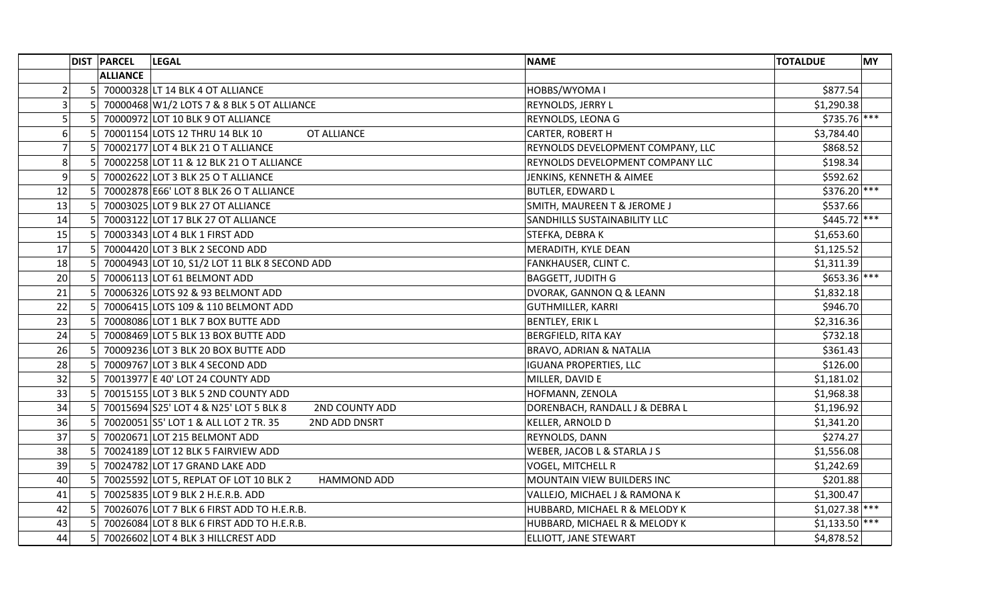|                | <b>DIST PARCEL</b> | <b>LEGAL</b>                                                 | <b>NAME</b>                         | <b>MY</b><br><b>TOTALDUE</b> |
|----------------|--------------------|--------------------------------------------------------------|-------------------------------------|------------------------------|
|                | <b>ALLIANCE</b>    |                                                              |                                     |                              |
| $\overline{2}$ |                    | 5 70000328 LT 14 BLK 4 OT ALLIANCE                           | HOBBS/WYOMA I                       | \$877.54                     |
| 3              |                    | 5 70000468 W1/2 LOTS 7 & 8 BLK 5 OT ALLIANCE                 | REYNOLDS, JERRY L                   | \$1,290.38                   |
| 5              |                    | 5 70000972 LOT 10 BLK 9 OT ALLIANCE                          | <b>REYNOLDS, LEONA G</b>            | $$735.76$ ***                |
| 6              |                    | 70001154 LOTS 12 THRU 14 BLK 10<br>OT ALLIANCE               | <b>CARTER, ROBERT H</b>             | \$3,784.40                   |
| $\overline{7}$ |                    | 70002177 LOT 4 BLK 21 O T ALLIANCE                           | REYNOLDS DEVELOPMENT COMPANY, LLC   | \$868.52                     |
| 8              | 51                 | 70002258 LOT 11 & 12 BLK 21 O T ALLIANCE                     | REYNOLDS DEVELOPMENT COMPANY LLC    | \$198.34                     |
| 9              | 5 <sup>1</sup>     | 70002622 LOT 3 BLK 25 O T ALLIANCE                           | JENKINS, KENNETH & AIMEE            | \$592.62                     |
| 12             |                    | 70002878 E66' LOT 8 BLK 26 O T ALLIANCE                      | <b>BUTLER, EDWARD L</b>             | \$376.20 ***                 |
| 13             |                    | 70003025 LOT 9 BLK 27 OT ALLIANCE                            | SMITH, MAUREEN T & JEROME J         | \$537.66                     |
| 14             |                    | 70003122 LOT 17 BLK 27 OT ALLIANCE                           | <b>SANDHILLS SUSTAINABILITY LLC</b> | $$445.72$ ***                |
| 15             | 5 <sup>1</sup>     | 70003343 LOT 4 BLK 1 FIRST ADD                               | STEFKA, DEBRA K                     | \$1,653.60                   |
| 17             | 5 <sup>1</sup>     | 70004420 LOT 3 BLK 2 SECOND ADD                              | MERADITH, KYLE DEAN                 | \$1,125.52                   |
| 18             | 5 <sup>1</sup>     | 70004943 LOT 10, S1/2 LOT 11 BLK 8 SECOND ADD                | <b>FANKHAUSER, CLINT C.</b>         | \$1,311.39                   |
| 20             |                    | 70006113 LOT 61 BELMONT ADD                                  | <b>BAGGETT, JUDITH G</b>            | $$653.36$ ***                |
| 21             |                    | 70006326 LOTS 92 & 93 BELMONT ADD                            | DVORAK, GANNON Q & LEANN            | \$1,832.18                   |
| 22             |                    | 70006415 LOTS 109 & 110 BELMONT ADD                          | <b>GUTHMILLER, KARRI</b>            | \$946.70                     |
| 23             | 5 <sup>1</sup>     | 70008086 LOT 1 BLK 7 BOX BUTTE ADD                           | <b>BENTLEY, ERIK L</b>              | \$2,316.36                   |
| 24             |                    | 70008469 LOT 5 BLK 13 BOX BUTTE ADD                          | <b>BERGFIELD, RITA KAY</b>          | \$732.18                     |
| 26             |                    | 70009236 LOT 3 BLK 20 BOX BUTTE ADD                          | <b>BRAVO, ADRIAN &amp; NATALIA</b>  | \$361.43                     |
| 28             |                    | 70009767 LOT 3 BLK 4 SECOND ADD                              | <b>IGUANA PROPERTIES, LLC</b>       | \$126.00                     |
| 32             |                    | 70013977 E 40' LOT 24 COUNTY ADD                             | MILLER, DAVID E                     | \$1,181.02                   |
| 33             | 5 <sup>1</sup>     | 70015155 LOT 3 BLK 5 2ND COUNTY ADD                          | HOFMANN, ZENOLA                     | \$1,968.38                   |
| 34             |                    | 70015694 S25' LOT 4 & N25' LOT 5 BLK 8<br>2ND COUNTY ADD     | DORENBACH, RANDALL J & DEBRA L      | \$1,196.92                   |
| 36             |                    | 70020051 S5' LOT 1 & ALL LOT 2 TR. 35<br>2ND ADD DNSRT       | KELLER, ARNOLD D                    | \$1,341.20                   |
| 37             | 51                 | 70020671 LOT 215 BELMONT ADD                                 | <b>REYNOLDS, DANN</b>               | \$274.27                     |
| 38             | 5 <sub>1</sub>     | 70024189 LOT 12 BLK 5 FAIRVIEW ADD                           | WEBER, JACOB L & STARLA J S         | \$1,556.08                   |
| 39             | 5 <sup>1</sup>     | 70024782 LOT 17 GRAND LAKE ADD                               | <b>VOGEL, MITCHELL R</b>            | \$1,242.69                   |
| 40             |                    | 70025592 LOT 5, REPLAT OF LOT 10 BLK 2<br><b>HAMMOND ADD</b> | MOUNTAIN VIEW BUILDERS INC          | \$201.88                     |
| 41             |                    | 70025835 LOT 9 BLK 2 H.E.R.B. ADD                            | VALLEJO, MICHAEL J & RAMONA K       | \$1,300.47                   |
| 42             | 5 <sup>1</sup>     | 70026076 LOT 7 BLK 6 FIRST ADD TO H.E.R.B.                   | HUBBARD, MICHAEL R & MELODY K       | $$1,027.38$ ***              |
| 43             | 5 <sub>1</sub>     | 70026084 LOT 8 BLK 6 FIRST ADD TO H.E.R.B.                   | HUBBARD, MICHAEL R & MELODY K       | $$1,133.50$ ***              |
| 44             |                    | 5 70026602 LOT 4 BLK 3 HILLCREST ADD                         | <b>ELLIOTT, JANE STEWART</b>        | \$4,878.52                   |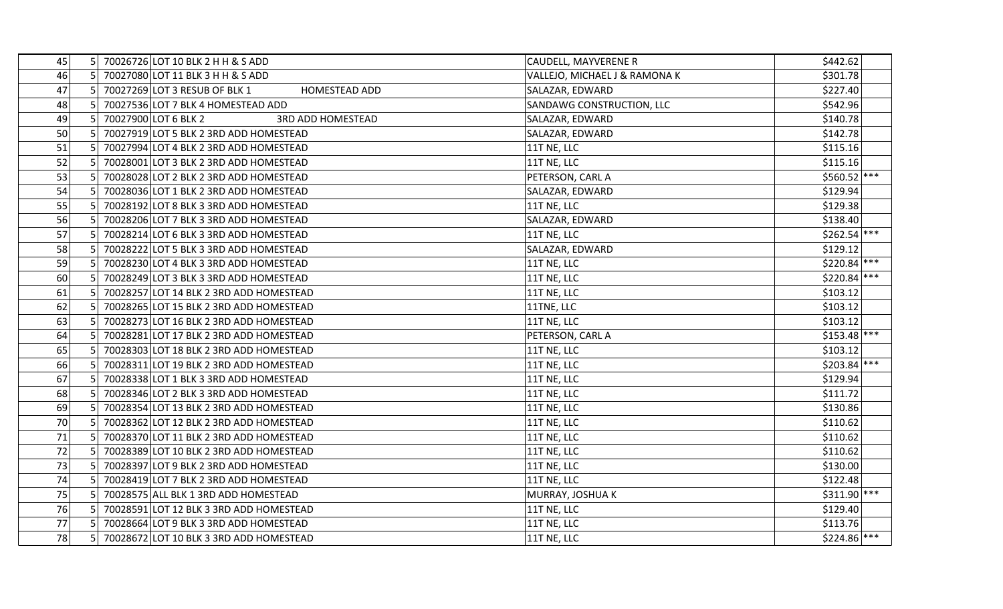| 45 | 51             | 70026726 LOT 10 BLK 2 H H & S ADD                     | CAUDELL, MAYVERENE R          | \$442.62      |
|----|----------------|-------------------------------------------------------|-------------------------------|---------------|
| 46 |                | 70027080 LOT 11 BLK 3 H H & S ADD                     | VALLEJO, MICHAEL J & RAMONA K | \$301.78      |
| 47 | 51             | 70027269 LOT 3 RESUB OF BLK 1<br><b>HOMESTEAD ADD</b> | SALAZAR, EDWARD               | \$227.40      |
| 48 | 5 <sup>1</sup> | 70027536 LOT 7 BLK 4 HOMESTEAD ADD                    | SANDAWG CONSTRUCTION, LLC     | \$542.96      |
| 49 | 51             | 70027900 LOT 6 BLK 2<br><b>3RD ADD HOMESTEAD</b>      | SALAZAR, EDWARD               | \$140.78      |
| 50 |                | 70027919 LOT 5 BLK 2 3RD ADD HOMESTEAD                | SALAZAR, EDWARD               | \$142.78      |
| 51 |                | 70027994 LOT 4 BLK 2 3RD ADD HOMESTEAD                | 11T NE, LLC                   | \$115.16      |
| 52 | 51             | 70028001 LOT 3 BLK 2 3RD ADD HOMESTEAD                | 11T NE, LLC                   | \$115.16      |
| 53 | 5 <sub>l</sub> | 70028028 LOT 2 BLK 2 3RD ADD HOMESTEAD                | PETERSON, CARL A              | \$560.52 ***  |
| 54 | 5 <sup>1</sup> | 70028036 LOT 1 BLK 2 3RD ADD HOMESTEAD                | SALAZAR, EDWARD               | \$129.94      |
| 55 |                | 70028192 LOT 8 BLK 3 3RD ADD HOMESTEAD                | 11T NE, LLC                   | \$129.38      |
| 56 |                | 70028206 LOT 7 BLK 3 3RD ADD HOMESTEAD                | SALAZAR, EDWARD               | \$138.40      |
| 57 | 51             | 70028214 LOT 6 BLK 3 3RD ADD HOMESTEAD                | 11T NE, LLC                   | $$262.54$ *** |
| 58 | 5 <sub>l</sub> | 70028222 LOT 5 BLK 3 3RD ADD HOMESTEAD                | SALAZAR, EDWARD               | \$129.12      |
| 59 | 5              | 70028230 LOT 4 BLK 3 3RD ADD HOMESTEAD                | 11T NE, LLC                   | $$220.84$ *** |
| 60 |                | 70028249 LOT 3 BLK 3 3RD ADD HOMESTEAD                | 11T NE, LLC                   | $$220.84$ *** |
| 61 |                | 70028257 LOT 14 BLK 2 3RD ADD HOMESTEAD               | 11T NE, LLC                   | \$103.12      |
| 62 | 51             | 70028265 LOT 15 BLK 2 3RD ADD HOMESTEAD               | 11TNE, LLC                    | \$103.12      |
| 63 | 5.             | 70028273 LOT 16 BLK 2 3RD ADD HOMESTEAD               | 11T NE, LLC                   | \$103.12      |
| 64 | 5              | 70028281 LOT 17 BLK 2 3RD ADD HOMESTEAD               | PETERSON, CARL A              | $$153.48$ *** |
| 65 |                | 70028303 LOT 18 BLK 2 3RD ADD HOMESTEAD               | 11T NE, LLC                   | \$103.12      |
| 66 |                | 70028311 LOT 19 BLK 2 3RD ADD HOMESTEAD               | 11T NE, LLC                   | \$203.84 ***  |
| 67 |                | 70028338 LOT 1 BLK 3 3RD ADD HOMESTEAD                | 11T NE, LLC                   | \$129.94      |
| 68 | 5 <sub>1</sub> | 70028346 LOT 2 BLK 3 3RD ADD HOMESTEAD                | 11T NE, LLC                   | \$111.72      |
| 69 |                | 70028354 LOT 13 BLK 2 3RD ADD HOMESTEAD               | 11T NE, LLC                   | \$130.86      |
| 70 |                | 70028362 LOT 12 BLK 2 3RD ADD HOMESTEAD               | 11T NE, LLC                   | \$110.62      |
| 71 |                | 70028370 LOT 11 BLK 2 3RD ADD HOMESTEAD               | 11T NE, LLC                   | \$110.62      |
| 72 |                | 70028389 LOT 10 BLK 2 3RD ADD HOMESTEAD               | 11T NE, LLC                   | \$110.62      |
| 73 | 51             | 70028397 LOT 9 BLK 2 3RD ADD HOMESTEAD                | 11T NE, LLC                   | \$130.00      |
| 74 | 5 <sup>1</sup> | 70028419 LOT 7 BLK 2 3RD ADD HOMESTEAD                | 11T NE, LLC                   | \$122.48      |
| 75 |                | 70028575 ALL BLK 1 3RD ADD HOMESTEAD                  | MURRAY, JOSHUA K              | $$311.90$ *** |
| 76 |                | 70028591 LOT 12 BLK 3 3RD ADD HOMESTEAD               | 11T NE, LLC                   | \$129.40      |
| 77 |                | 70028664 LOT 9 BLK 3 3RD ADD HOMESTEAD                | 11T NE, LLC                   | \$113.76      |
| 78 |                | 70028672 LOT 10 BLK 3 3RD ADD HOMESTEAD               | 11T NE, LLC                   | $$224.86$ *** |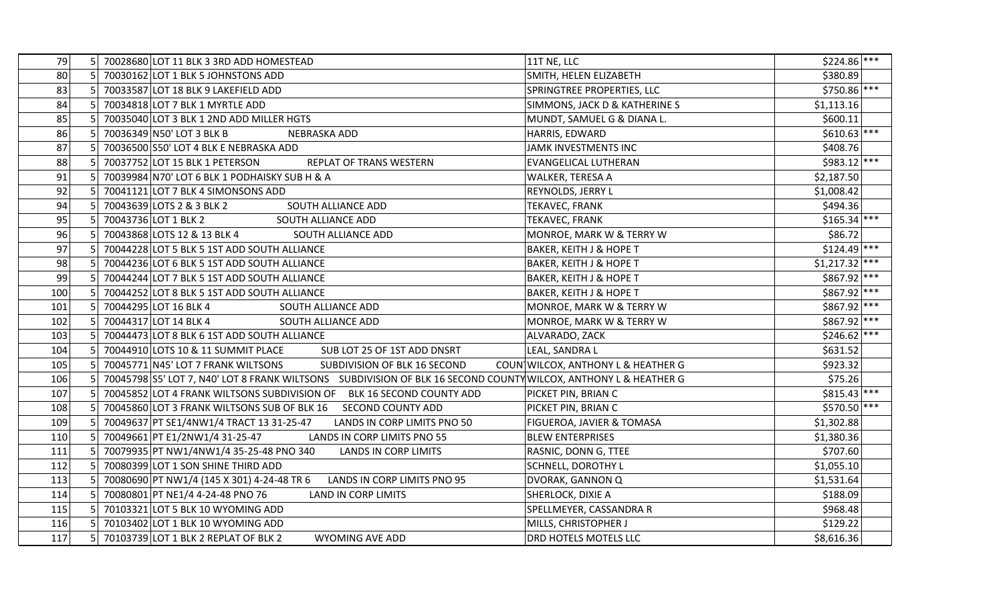| 79  | 70028680 LOT 11 BLK 3 3RD ADD HOMESTEAD<br>51                                                                                     | 11T NE, LLC                        | $$224.86$ ***   |
|-----|-----------------------------------------------------------------------------------------------------------------------------------|------------------------------------|-----------------|
| 80  | 51<br>70030162 LOT 1 BLK 5 JOHNSTONS ADD                                                                                          | SMITH, HELEN ELIZABETH             | \$380.89        |
| 83  | 70033587 LOT 18 BLK 9 LAKEFIELD ADD<br>51                                                                                         | SPRINGTREE PROPERTIES, LLC         | \$750.86 ***    |
| 84  | 70034818 LOT 7 BLK 1 MYRTLE ADD                                                                                                   | SIMMONS, JACK D & KATHERINE S      | \$1,113.16      |
| 85  | 70035040 LOT 3 BLK 1 2ND ADD MILLER HGTS                                                                                          | MUNDT, SAMUEL G & DIANA L.         | \$600.11        |
| 86  | 70036349 N50' LOT 3 BLK B<br>NEBRASKA ADD                                                                                         | HARRIS, EDWARD                     | $$610.63$ ***   |
| 87  | 70036500 S50' LOT 4 BLK E NEBRASKA ADD                                                                                            | JAMK INVESTMENTS INC               | \$408.76        |
| 88  | 5<br>70037752 LOT 15 BLK 1 PETERSON<br>REPLAT OF TRANS WESTERN                                                                    | <b>EVANGELICAL LUTHERAN</b>        | \$983.12 ***    |
| 91  | 70039984 N70' LOT 6 BLK 1 PODHAISKY SUB H & A<br>5 <sup>1</sup>                                                                   | WALKER, TERESA A                   | \$2,187.50      |
| 92  | 70041121 LOT 7 BLK 4 SIMONSONS ADD                                                                                                | REYNOLDS, JERRY L                  | \$1,008.42      |
| 94  | 70043639 LOTS 2 & 3 BLK 2<br>SOUTH ALLIANCE ADD                                                                                   | <b>TEKAVEC, FRANK</b>              | \$494.36        |
| 95  | 70043736 LOT 1 BLK 2<br>SOUTH ALLIANCE ADD                                                                                        | <b>TEKAVEC, FRANK</b>              | $$165.34$ ***   |
| 96  | 5 <sub>1</sub><br>70043868 LOTS 12 & 13 BLK 4<br>SOUTH ALLIANCE ADD                                                               | MONROE, MARK W & TERRY W           | \$86.72         |
| 97  | 70044228 LOT 5 BLK 5 1ST ADD SOUTH ALLIANCE                                                                                       | <b>BAKER, KEITH J &amp; HOPE T</b> | $$124.49$ ***   |
| 98  | 70044236 LOT 6 BLK 5 1ST ADD SOUTH ALLIANCE                                                                                       | <b>BAKER, KEITH J &amp; HOPE T</b> | $$1,217.32$ *** |
| 99  | 70044244 LOT 7 BLK 5 1ST ADD SOUTH ALLIANCE                                                                                       | BAKER, KEITH J & HOPE T            | $$867.92$ ***   |
| 100 | 70044252 LOT 8 BLK 5 1ST ADD SOUTH ALLIANCE                                                                                       | <b>BAKER, KEITH J &amp; HOPE T</b> | \$867.92 ***    |
| 101 | 70044295 LOT 16 BLK 4<br>SOUTH ALLIANCE ADD                                                                                       | MONROE, MARK W & TERRY W           | $$867.92$ ***   |
| 102 | 5 <sup>1</sup><br>70044317 LOT 14 BLK 4<br>SOUTH ALLIANCE ADD                                                                     | MONROE, MARK W & TERRY W           | $$867.92$ ***   |
| 103 | 51<br>70044473 LOT 8 BLK 6 1ST ADD SOUTH ALLIANCE                                                                                 | ALVARADO, ZACK                     | $$246.62$ ***   |
| 104 | 70044910 LOTS 10 & 11 SUMMIT PLACE<br>SUB LOT 25 OF 1ST ADD DNSRT                                                                 | LEAL, SANDRA L                     | \$631.52        |
| 105 | 70045771 N45' LOT 7 FRANK WILTSONS<br>SUBDIVISION OF BLK 16 SECOND                                                                | COUN WILCOX, ANTHONY L & HEATHER G | \$923.32        |
| 106 | 5 <sub>l</sub><br>70045798 S5' LOT 7, N40' LOT 8 FRANK WILTSONS SUBDIVISION OF BLK 16 SECOND COUNTY WILCOX, ANTHONY L & HEATHER G |                                    | \$75.26         |
| 107 | 5 <sub>l</sub><br>70045852 LOT 4 FRANK WILTSONS SUBDIVISION OF BLK 16 SECOND COUNTY ADD                                           | PICKET PIN, BRIAN C                | $$815.43$ ***   |
| 108 | 70045860 LOT 3 FRANK WILTSONS SUB OF BLK 16 SECOND COUNTY ADD                                                                     | <b>PICKET PIN, BRIAN C</b>         | \$570.50 ***    |
| 109 | 70049637 PT SE1/4NW1/4 TRACT 13 31-25-47<br>LANDS IN CORP LIMITS PNO 50                                                           | FIGUEROA, JAVIER & TOMASA          | \$1,302.88      |
| 110 | 70049661 PT E1/2NW1/4 31-25-47<br>LANDS IN CORP LIMITS PNO 55                                                                     | <b>BLEW ENTERPRISES</b>            | \$1,380.36      |
| 111 | 5<br>70079935 PT NW1/4NW1/4 35-25-48 PNO 340<br><b>LANDS IN CORP LIMITS</b>                                                       | RASNIC, DONN G, TTEE               | \$707.60        |
| 112 | 5 <sup>1</sup><br>70080399 LOT 1 SON SHINE THIRD ADD                                                                              | <b>SCHNELL, DOROTHY L</b>          | \$1,055.10      |
| 113 | 51<br>LANDS IN CORP LIMITS PNO 95<br>70080690 PT NW1/4 (145 X 301) 4-24-48 TR 6                                                   | DVORAK, GANNON Q                   | \$1,531.64      |
| 114 | 70080801 PT NE1/4 4-24-48 PNO 76<br>LAND IN CORP LIMITS                                                                           | SHERLOCK, DIXIE A                  | \$188.09        |
| 115 | 70103321 LOT 5 BLK 10 WYOMING ADD                                                                                                 | SPELLMEYER, CASSANDRA R            | \$968.48        |
| 116 | 5 <sup>1</sup><br>70103402 LOT 1 BLK 10 WYOMING ADD                                                                               | MILLS, CHRISTOPHER J               | \$129.22        |
| 117 | 70103739 LOT 1 BLK 2 REPLAT OF BLK 2<br>5 <sup>1</sup><br><b>WYOMING AVE ADD</b>                                                  | DRD HOTELS MOTELS LLC              | \$8,616.36      |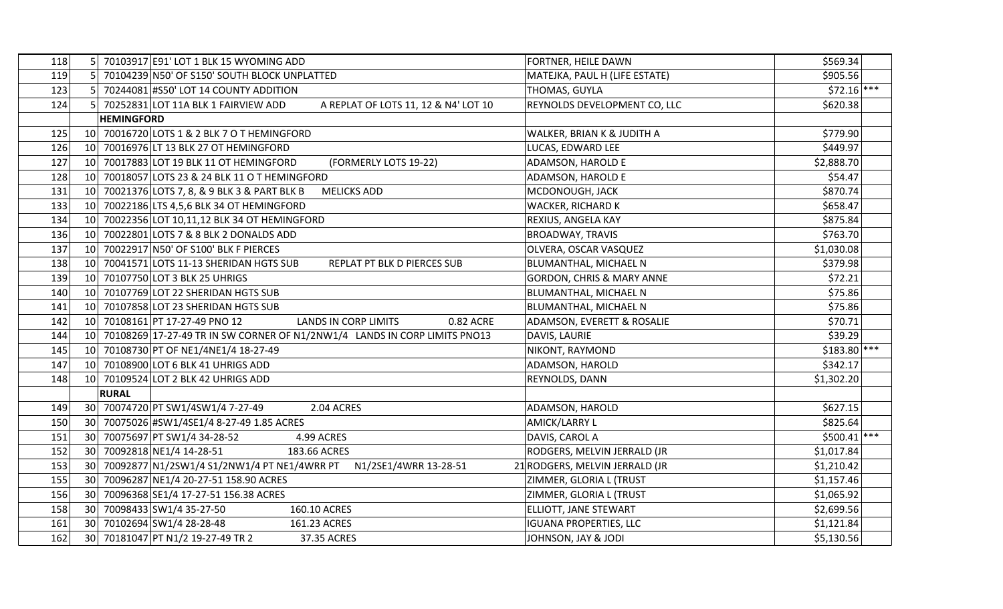| 118 | 70103917 E91' LOT 1 BLK 15 WYOMING ADD                                        | FORTNER, HEILE DAWN                   | \$569.34      |
|-----|-------------------------------------------------------------------------------|---------------------------------------|---------------|
| 119 | 5 <sup>1</sup><br>70104239 N50' OF S150' SOUTH BLOCK UNPLATTED                | MATEJKA, PAUL H (LIFE ESTATE)         | \$905.56      |
| 123 | 51<br>70244081 #S50' LOT 14 COUNTY ADDITION                                   | THOMAS, GUYLA                         | $$72.16$ ***  |
| 124 | 5 70252831 LOT 11A BLK 1 FAIRVIEW ADD<br>A REPLAT OF LOTS 11, 12 & N4' LOT 10 | REYNOLDS DEVELOPMENT CO, LLC          | \$620.38      |
|     | <b>HEMINGFORD</b>                                                             |                                       |               |
| 125 | 70016720 LOTS 1 & 2 BLK 7 O T HEMINGFORD<br>10 <sup>1</sup>                   | WALKER, BRIAN K & JUDITH A            | \$779.90      |
| 126 | 70016976 LT 13 BLK 27 OT HEMINGFORD<br>10 <sup>1</sup>                        | LUCAS, EDWARD LEE                     | \$449.97      |
| 127 | (FORMERLY LOTS 19-22)<br>10<br>70017883 LOT 19 BLK 11 OT HEMINGFORD           | ADAMSON, HAROLD E                     | \$2,888.70    |
| 128 | 10 70018057 LOTS 23 & 24 BLK 11 O T HEMINGFORD                                | <b>ADAMSON, HAROLD E</b>              | \$54.47       |
| 131 | 70021376 LOTS 7, 8, & 9 BLK 3 & PART BLK B<br><b>MELICKS ADD</b><br>10 l      | MCDONOUGH, JACK                       | \$870.74      |
| 133 | 70022186 LTS 4,5,6 BLK 34 OT HEMINGFORD<br>10 <sup>1</sup>                    | WACKER, RICHARD K                     | \$658.47      |
| 134 | 10<br>70022356 LOT 10,11,12 BLK 34 OT HEMINGFORD                              | <b>REXIUS, ANGELA KAY</b>             | \$875.84      |
| 136 | 10<br>70022801 LOTS 7 & 8 BLK 2 DONALDS ADD                                   | <b>BROADWAY, TRAVIS</b>               | \$763.70      |
| 137 | 10 70022917 N50' OF S100' BLK F PIERCES                                       | OLVERA, OSCAR VASQUEZ                 | \$1,030.08    |
| 138 | 10 70041571 LOTS 11-13 SHERIDAN HGTS SUB<br>REPLAT PT BLK D PIERCES SUB       | BLUMANTHAL, MICHAEL N                 | \$379.98      |
| 139 | 70107750 LOT 3 BLK 25 UHRIGS<br>10 <sup>1</sup>                               | <b>GORDON, CHRIS &amp; MARY ANNE</b>  | \$72.21       |
| 140 | 70107769 LOT 22 SHERIDAN HGTS SUB<br>10 <sup>1</sup>                          | BLUMANTHAL, MICHAEL N                 | \$75.86       |
| 141 | 70107858 LOT 23 SHERIDAN HGTS SUB<br>10                                       | BLUMANTHAL, MICHAEL N                 | \$75.86       |
| 142 | <b>LANDS IN CORP LIMITS</b><br>0.82 ACRE<br>10 70108161 PT 17-27-49 PNO 12    | <b>ADAMSON, EVERETT &amp; ROSALIE</b> | \$70.71       |
| 144 | 10 70108269 17-27-49 TR IN SW CORNER OF N1/2NW1/4 LANDS IN CORP LIMITS PNO13  | DAVIS, LAURIE                         | \$39.29       |
| 145 | 70108730 PT OF NE1/4NE1/4 18-27-49<br>10 <sup>°</sup>                         | NIKONT, RAYMOND                       | $$183.80$ *** |
| 147 | 70108900 LOT 6 BLK 41 UHRIGS ADD<br>10 <sup>1</sup>                           | ADAMSON, HAROLD                       | \$342.17      |
| 148 | 10<br>70109524 LOT 2 BLK 42 UHRIGS ADD                                        | REYNOLDS, DANN                        | \$1,302.20    |
|     | <b>RURAL</b>                                                                  |                                       |               |
| 149 | 30 70074720 PT SW1/4SW1/4 7-27-49<br>2.04 ACRES                               | ADAMSON, HAROLD                       | \$627.15      |
| 150 | 70075026 #SW1/4SE1/4 8-27-49 1.85 ACRES<br>30 I                               | AMICK/LARRY L                         | \$825.64      |
| 151 | 70075697 PT SW1/4 34-28-52<br>30 <sup>°</sup><br>4.99 ACRES                   | DAVIS, CAROL A                        | $$500.41$ *** |
| 152 | 70092818 NE1/4 14-28-51<br>30 <sup>°</sup><br>183.66 ACRES                    | RODGERS, MELVIN JERRALD (JR           | \$1,017.84    |
| 153 | 30 70092877 N1/2SW1/4 S1/2NW1/4 PT NE1/4WRR PT N1/2SE1/4WRR 13-28-51          | 21 RODGERS, MELVIN JERRALD (JR        | \$1,210.42    |
| 155 | 70096287 NE1/4 20-27-51 158.90 ACRES<br>30 L                                  | ZIMMER, GLORIA L (TRUST               | \$1,157.46    |
| 156 | 70096368 SE1/4 17-27-51 156.38 ACRES<br>30 <sup>1</sup>                       | ZIMMER, GLORIA L (TRUST               | \$1,065.92    |
| 158 | 70098433 SW1/4 35-27-50<br>30 <sup>1</sup><br>160.10 ACRES                    | <b>ELLIOTT, JANE STEWART</b>          | \$2,699.56    |
| 161 | 70102694 SW1/4 28-28-48<br>30 <sup>°</sup><br>161.23 ACRES                    | <b>IGUANA PROPERTIES, LLC</b>         | \$1,121.84    |
| 162 | 30 70181047 PT N1/2 19-27-49 TR 2<br>37.35 ACRES                              | JOHNSON, JAY & JODI                   | \$5,130.56    |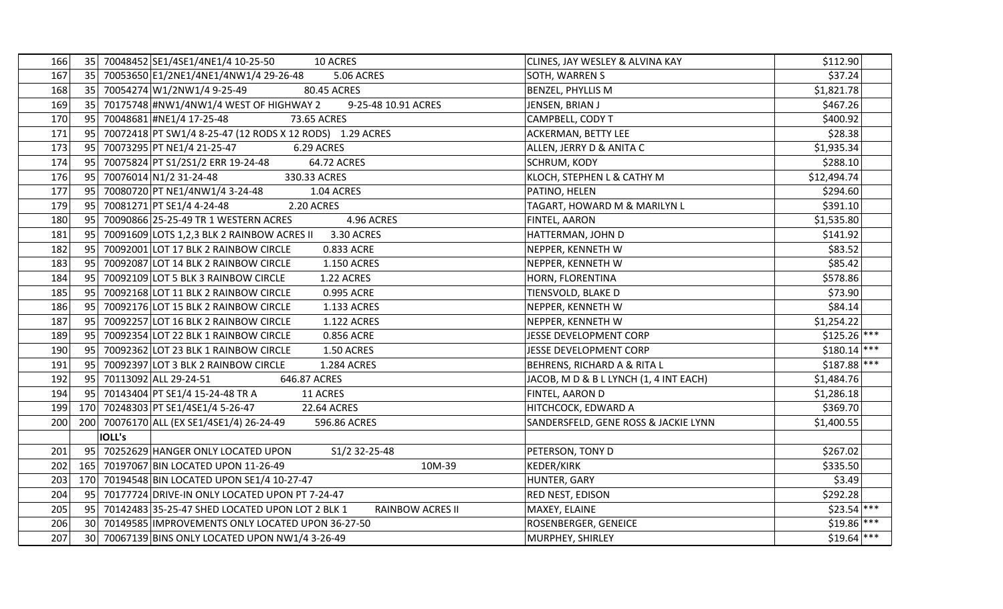| 166 | 35 <sup>1</sup> |               | 70048452 SE1/4SE1/4NE1/4 10-25-50<br>10 ACRES                       | CLINES, JAY WESLEY & ALVINA KAY        | \$112.90      |
|-----|-----------------|---------------|---------------------------------------------------------------------|----------------------------------------|---------------|
| 167 |                 |               | 35 70053650 E1/2NE1/4NE1/4NW1/4 29-26-48<br><b>5.06 ACRES</b>       | SOTH, WARREN S                         | \$37.24       |
| 168 |                 |               | 35 70054274 W1/2NW1/4 9-25-49<br>80.45 ACRES                        | <b>BENZEL, PHYLLIS M</b>               | \$1,821.78    |
| 169 |                 |               | 35 70175748 #NW1/4NW1/4 WEST OF HIGHWAY 2<br>9-25-48 10.91 ACRES    | JENSEN, BRIAN J                        | \$467.26      |
| 170 | 95              |               | 70048681 #NE1/4 17-25-48<br>73.65 ACRES                             | CAMPBELL, CODY T                       | \$400.92      |
| 171 | 95              |               | 70072418 PT SW1/4 8-25-47 (12 RODS X 12 RODS) 1.29 ACRES            | ACKERMAN, BETTY LEE                    | \$28.38       |
| 173 | 95              |               | 70073295 PT NE1/4 21-25-47<br>6.29 ACRES                            | ALLEN, JERRY D & ANITA C               | \$1,935.34    |
| 174 | 95              |               | 70075824 PT S1/2S1/2 ERR 19-24-48<br>64.72 ACRES                    | <b>SCHRUM, KODY</b>                    | \$288.10      |
| 176 |                 |               | 95 70076014 N1/2 31-24-48<br>330.33 ACRES                           | KLOCH, STEPHEN L & CATHY M             | \$12,494.74   |
| 177 | 95              |               | 70080720 PT NE1/4NW1/4 3-24-48<br>1.04 ACRES                        | PATINO, HELEN                          | \$294.60      |
| 179 | 95              |               | 70081271 PT SE1/4 4-24-48<br>2.20 ACRES                             | TAGART, HOWARD M & MARILYN L           | \$391.10      |
| 180 | 95              |               | 70090866 25-25-49 TR 1 WESTERN ACRES<br>4.96 ACRES                  | <b>FINTEL, AARON</b>                   | \$1,535.80    |
| 181 | 95              |               | 70091609 LOTS 1,2,3 BLK 2 RAINBOW ACRES II<br>3.30 ACRES            | HATTERMAN, JOHN D                      | \$141.92      |
| 182 | 95              |               | 70092001 LOT 17 BLK 2 RAINBOW CIRCLE<br>0.833 ACRE                  | NEPPER, KENNETH W                      | \$83.52       |
| 183 | 95              |               | 70092087 LOT 14 BLK 2 RAINBOW CIRCLE<br>1.150 ACRES                 | NEPPER, KENNETH W                      | \$85.42       |
| 184 | 95              |               | 70092109 LOT 5 BLK 3 RAINBOW CIRCLE<br>1.22 ACRES                   | HORN, FLORENTINA                       | \$578.86      |
| 185 | 95              |               | 70092168 LOT 11 BLK 2 RAINBOW CIRCLE<br>0.995 ACRE                  | TIENSVOLD, BLAKE D                     | \$73.90       |
| 186 | 95              |               | 70092176 LOT 15 BLK 2 RAINBOW CIRCLE<br>1.133 ACRES                 | NEPPER, KENNETH W                      | \$84.14       |
| 187 | 95              |               | 70092257 LOT 16 BLK 2 RAINBOW CIRCLE<br>1.122 ACRES                 | NEPPER, KENNETH W                      | \$1,254.22    |
| 189 | 95              |               | 70092354 LOT 22 BLK 1 RAINBOW CIRCLE<br>0.856 ACRE                  | <b>JESSE DEVELOPMENT CORP</b>          | $$125.26$ *** |
| 190 | 95              |               | 70092362 LOT 23 BLK 1 RAINBOW CIRCLE<br>1.50 ACRES                  | JESSE DEVELOPMENT CORP                 | $$180.14$ *** |
| 191 | 95              |               | 70092397 LOT 3 BLK 2 RAINBOW CIRCLE<br>1.284 ACRES                  | BEHRENS, RICHARD A & RITA L            | $$187.88$ *** |
| 192 | 95              |               | 70113092 ALL 29-24-51<br>646.87 ACRES                               | JACOB, M D & B L LYNCH (1, 4 INT EACH) | \$1,484.76    |
| 194 | 95              |               | 70143404 PT SE1/4 15-24-48 TR A<br>11 ACRES                         | FINTEL, AARON D                        | \$1,286.18    |
| 199 |                 |               | 170 70248303 PT SE1/4SE1/4 5-26-47<br>22.64 ACRES                   | HITCHCOCK, EDWARD A                    | \$369.70      |
| 200 | 200             |               | 70076170 ALL (EX SE1/4SE1/4) 26-24-49<br>596.86 ACRES               | SANDERSFELD, GENE ROSS & JACKIE LYNN   | \$1,400.55    |
|     |                 | <b>IOLL's</b> |                                                                     |                                        |               |
| 201 | 95              |               | 70252629 HANGER ONLY LOCATED UPON<br>S1/2 32-25-48                  | PETERSON, TONY D                       | \$267.02      |
| 202 |                 |               | 165 70197067 BIN LOCATED UPON 11-26-49<br>10M-39                    | KEDER/KIRK                             | \$335.50      |
| 203 |                 |               | 170 70194548 BIN LOCATED UPON SE1/4 10-27-47                        | HUNTER, GARY                           | \$3.49        |
| 204 | 95              |               | 70177724 DRIVE-IN ONLY LOCATED UPON PT 7-24-47                      | <b>RED NEST, EDISON</b>                | \$292.28      |
| 205 | 951             |               | 70142483 35-25-47 SHED LOCATED UPON LOT 2 BLK 1<br>RAINBOW ACRES II | MAXEY, ELAINE                          | $$23.54$ ***  |
| 206 | 30 <sup>1</sup> |               | 70149585 IMPROVEMENTS ONLY LOCATED UPON 36-27-50                    | <b>ROSENBERGER, GENEICE</b>            | $$19.86$ ***  |
| 207 |                 |               | 30 70067139 BINS ONLY LOCATED UPON NW1/4 3-26-49                    | MURPHEY, SHIRLEY                       | $$19.64$ ***  |